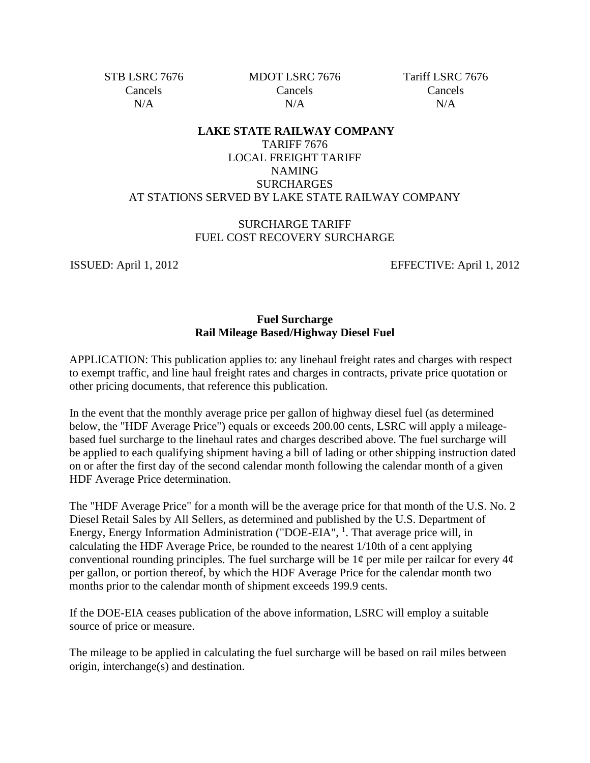STB LSRC 7676 Cancels  $N/A$ 

MDOT LSRC 7676 Cancels  $N/A$ 

Tariff LSRC 7676 Cancels N/A

## **LAKE STATE RAILWAY COMPANY** TARIFF 7676 LOCAL FREIGHT TARIFF NAMING SURCHARGES AT STATIONS SERVED BY LAKE STATE RAILWAY COMPANY

## SURCHARGE TARIFF FUEL COST RECOVERY SURCHARGE

ISSUED: April 1, 2012 EFFECTIVE: April 1, 2012

## **Fuel Surcharge Rail Mileage Based/Highway Diesel Fuel**

APPLICATION: This publication applies to: any linehaul freight rates and charges with respect to exempt traffic, and line haul freight rates and charges in contracts, private price quotation or other pricing documents, that reference this publication.

In the event that the monthly average price per gallon of highway diesel fuel (as determined below, the "HDF Average Price") equals or exceeds 200.00 cents, LSRC will apply a mileagebased fuel surcharge to the linehaul rates and charges described above. The fuel surcharge will be applied to each qualifying shipment having a bill of lading or other shipping instruction dated on or after the first day of the second calendar month following the calendar month of a given HDF Average Price determination.

The "HDF Average Price" for a month will be the average price for that month of the U.S. No. 2 Diesel Retail Sales by All Sellers, as determined and published by the U.S. Department of Energy, Energy Information Administration ("DOE-EIA", <sup>1</sup>. That average price will, in calculating the HDF Average Price, be rounded to the nearest 1/10th of a cent applying conventional rounding principles. The fuel surcharge will be  $1¢$  per mile per railcar for every  $4¢$ per gallon, or portion thereof, by which the HDF Average Price for the calendar month two months prior to the calendar month of shipment exceeds 199.9 cents.

If the DOE-EIA ceases publication of the above information, LSRC will employ a suitable source of price or measure.

The mileage to be applied in calculating the fuel surcharge will be based on rail miles between origin, interchange(s) and destination.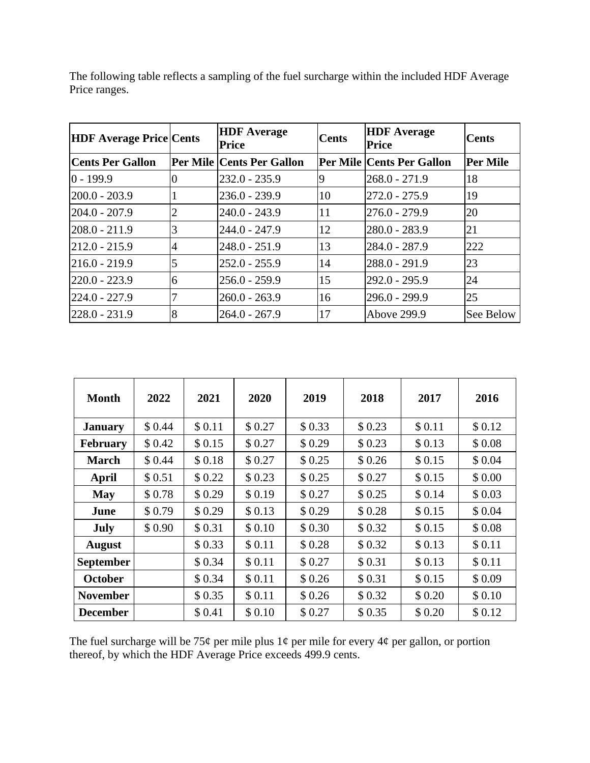| <b>HDF Average Price Cents</b> |   | <b>HDF</b> Average<br>Price      | <b>Cents</b> | <b>HDF</b> Average<br><b>Price</b> | Cents           |
|--------------------------------|---|----------------------------------|--------------|------------------------------------|-----------------|
| <b>Cents Per Gallon</b>        |   | <b>Per Mile Cents Per Gallon</b> |              | <b>Per Mile Cents Per Gallon</b>   | <b>Per Mile</b> |
| $0 - 199.9$                    |   | 232.0 - 235.9                    | 9            | 268.0 - 271.9                      | 18              |
| $ 200.0 - 203.9$               |   | $236.0 - 239.9$                  | 10           | 272.0 - 275.9                      | 19              |
| $ 204.0 - 207.9$               | 2 | $240.0 - 243.9$                  | 11           | 276.0 - 279.9                      | 20              |
| $ 208.0 - 211.9$               |   | $244.0 - 247.9$                  | 12           | 280.0 - 283.9                      | 21              |
| $ 212.0 - 215.9 $              | 4 | $248.0 - 251.9$                  | 13           | 284.0 - 287.9                      | 222             |
| $ 216.0 - 219.9$               | 5 | $252.0 - 255.9$                  | 14           | 288.0 - 291.9                      | 23              |
| $ 220.0 - 223.9 $              | 6 | $256.0 - 259.9$                  | 15           | 292.0 - 295.9                      | 24              |
| 224.0 - 227.9                  |   | $260.0 - 263.9$                  | 16           | 296.0 - 299.9                      | 25              |
| 228.0 - 231.9                  | 8 | $264.0 - 267.9$                  | 17           | Above 299.9                        | See Below       |

The following table reflects a sampling of the fuel surcharge within the included HDF Average Price ranges.

| <b>Month</b>     | 2022   | 2021   | 2020   | 2019    | 2018   | 2017    | 2016    |
|------------------|--------|--------|--------|---------|--------|---------|---------|
| <b>January</b>   | \$0.44 | \$0.11 | \$0.27 | \$0.33  | \$0.23 | \$0.11  | \$0.12  |
| <b>February</b>  | \$0.42 | \$0.15 | \$0.27 | \$0.29  | \$0.23 | \$0.13  | \$0.08  |
| <b>March</b>     | \$0.44 | \$0.18 | \$0.27 | \$0.25  | \$0.26 | \$0.15  | \$0.04  |
| April            | \$0.51 | \$0.22 | \$0.23 | \$0.25  | \$0.27 | \$0.15  | \$0.00  |
| <b>May</b>       | \$0.78 | \$0.29 | \$0.19 | \$0.27  | \$0.25 | \$0.14  | \$ 0.03 |
| June             | \$0.79 | \$0.29 | \$0.13 | \$0.29  | \$0.28 | \$0.15  | \$0.04  |
| July             | \$0.90 | \$0.31 | \$0.10 | \$ 0.30 | \$0.32 | \$0.15  | \$0.08  |
| <b>August</b>    |        | \$0.33 | \$0.11 | \$0.28  | \$0.32 | \$0.13  | \$0.11  |
| <b>September</b> |        | \$0.34 | \$0.11 | \$0.27  | \$0.31 | \$0.13  | \$0.11  |
| <b>October</b>   |        | \$0.34 | \$0.11 | \$0.26  | \$0.31 | \$0.15  | \$0.09  |
| <b>November</b>  |        | \$0.35 | \$0.11 | \$0.26  | \$0.32 | \$ 0.20 | \$0.10  |
| <b>December</b>  |        | \$0.41 | \$0.10 | \$0.27  | \$0.35 | \$0.20  | \$0.12  |

The fuel surcharge will be 75 $\phi$  per mile plus 1 $\phi$  per mile for every 4 $\phi$  per gallon, or portion thereof, by which the HDF Average Price exceeds 499.9 cents.